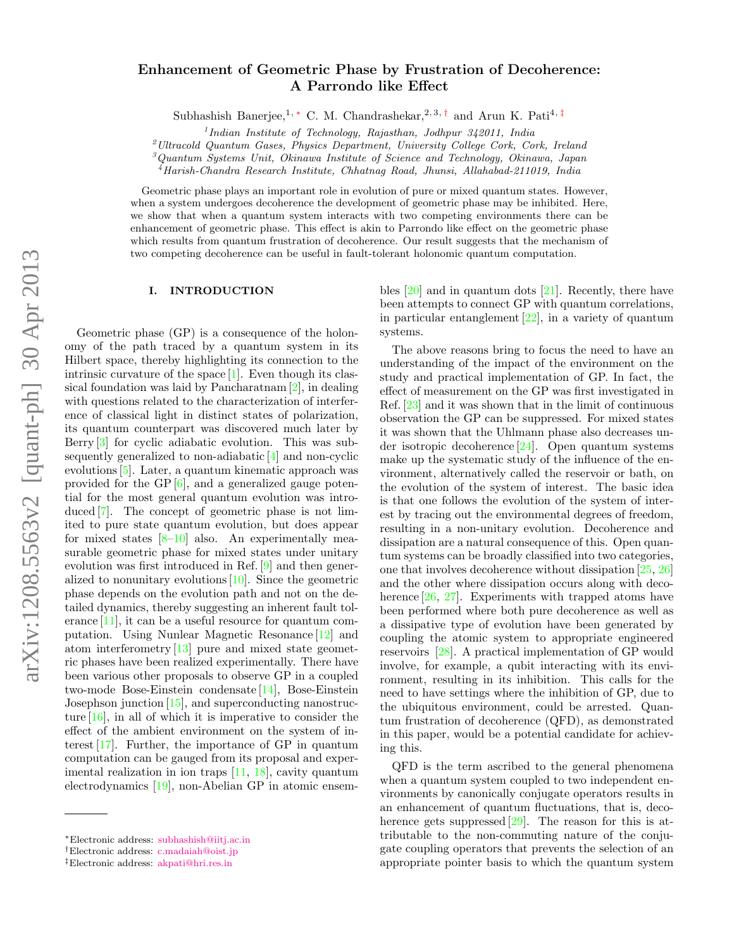# Enhancement of Geometric Phase by Frustration of Decoherence: A Parrondo like Effect

Subhashish Banerjee,<sup>1,\*</sup> C. M. Chandrashekar,<sup>2,3,†</sup> and Arun K. Pati<sup>4,‡</sup>

 $1$ Indian Institute of Technology, Rajasthan, Jodhpur 342011, India

<sup>2</sup>Ultracold Quantum Gases, Physics Department, University College Cork, Cork, Ireland

<sup>3</sup>Quantum Systems Unit, Okinawa Institute of Science and Technology, Okinawa, Japan

<sup>4</sup>Harish-Chandra Research Institute, Chhatnag Road, Jhunsi, Allahabad-211019, India

Geometric phase plays an important role in evolution of pure or mixed quantum states. However, when a system undergoes decoherence the development of geometric phase may be inhibited. Here, we show that when a quantum system interacts with two competing environments there can be enhancement of geometric phase. This effect is akin to Parrondo like effect on the geometric phase which results from quantum frustration of decoherence. Our result suggests that the mechanism of two competing decoherence can be useful in fault-tolerant holonomic quantum computation.

### I. INTRODUCTION

Geometric phase (GP) is a consequence of the holonomy of the path traced by a quantum system in its Hilbert space, thereby highlighting its connection to the intrinsic curvature of the space  $[1]$ . Even though its classical foundation was laid by Pancharatnam [2], in dealing with questions related to the characterization of interference of classical light in distinct states of polarization, its quantum counterpart was discovered much later by Berry [3] for cyclic adiabatic evolution. This was subsequently generalized to non-adiabatic [4] and non-cyclic evolutions [5]. Later, a quantum kinematic approach was provided for the GP [6], and a generalized gauge potential for the most general quantum evolution was introduced [7]. The concept of geometric phase is not limited to pure state quantum evolution, but does appear for mixed states  $[8-10]$  also. An experimentally measurable geometric phase for mixed states under unitary evolution was first introduced in Ref. [9] and then generalized to nonunitary evolutions  $[10]$ . Since the geometric phase depends on the evolution path and not on the detailed dynamics, thereby suggesting an inherent fault tolerance [11], it can be a useful resource for quantum computation. Using Nunlear Magnetic Resonance [12] and atom interferometry [13] pure and mixed state geometric phases have been realized experimentally. There have been various other proposals to observe GP in a coupled two-mode Bose-Einstein condensate [14], Bose-Einstein Josephson junction [15], and superconducting nanostructure  $[16]$ , in all of which it is imperative to consider the effect of the ambient environment on the system of interest [17]. Further, the importance of GP in quantum computation can be gauged from its proposal and experimental realization in ion traps [11, 18], cavity quantum electrodynamics [19], non-Abelian GP in atomic ensembles  $[20]$  and in quantum dots  $[21]$ . Recently, there have been attempts to connect GP with quantum correlations, in particular entanglement [22], in a variety of quantum systems.

The above reasons bring to focus the need to have an understanding of the impact of the environment on the study and practical implementation of GP. In fact, the effect of measurement on the GP was first investigated in Ref. [23] and it was shown that in the limit of continuous observation the GP can be suppressed. For mixed states it was shown that the Uhlmann phase also decreases under isotropic decoherence [24]. Open quantum systems make up the systematic study of the influence of the environment, alternatively called the reservoir or bath, on the evolution of the system of interest. The basic idea is that one follows the evolution of the system of interest by tracing out the environmental degrees of freedom, resulting in a non-unitary evolution. Decoherence and dissipation are a natural consequence of this. Open quantum systems can be broadly classified into two categories, one that involves decoherence without dissipation [25, 26] and the other where dissipation occurs along with decoherence  $[26, 27]$ . Experiments with trapped atoms have been performed where both pure decoherence as well as a dissipative type of evolution have been generated by coupling the atomic system to appropriate engineered reservoirs [28]. A practical implementation of GP would involve, for example, a qubit interacting with its environment, resulting in its inhibition. This calls for the need to have settings where the inhibition of GP, due to the ubiquitous environment, could be arrested. Quantum frustration of decoherence (QFD), as demonstrated in this paper, would be a potential candidate for achieving this.

QFD is the term ascribed to the general phenomena when a quantum system coupled to two independent environments by canonically conjugate operators results in an enhancement of quantum fluctuations, that is, decoherence gets suppressed [29]. The reason for this is attributable to the non-commuting nature of the conjugate coupling operators that prevents the selection of an appropriate pointer basis to which the quantum system

<sup>∗</sup>Electronic address: subhashish@iitj.ac.in

<sup>†</sup>Electronic address: c.madaiah@oist.jp

<sup>‡</sup>Electronic address: akpati@hri.res.in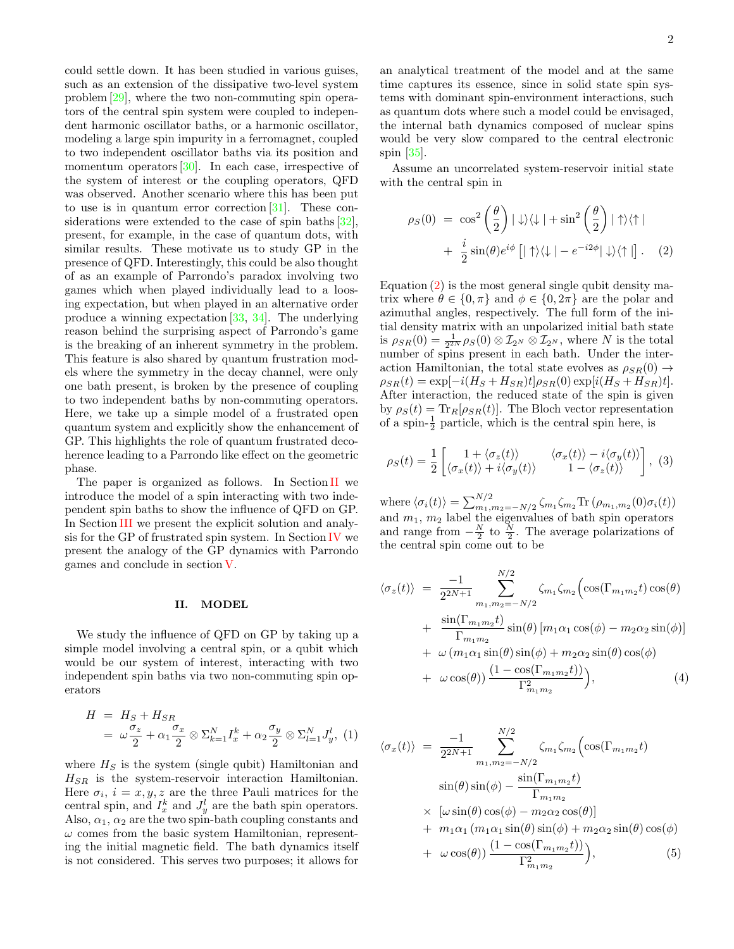could settle down. It has been studied in various guises, such as an extension of the dissipative two-level system problem [29], where the two non-commuting spin operators of the central spin system were coupled to independent harmonic oscillator baths, or a harmonic oscillator, modeling a large spin impurity in a ferromagnet, coupled to two independent oscillator baths via its position and momentum operators  $[30]$ . In each case, irrespective of the system of interest or the coupling operators, QFD was observed. Another scenario where this has been put to use is in quantum error correction  $[31]$ . These considerations were extended to the case of spin baths [32], present, for example, in the case of quantum dots, with similar results. These motivate us to study GP in the presence of QFD. Interestingly, this could be also thought of as an example of Parrondo's paradox involving two games which when played individually lead to a loosing expectation, but when played in an alternative order produce a winning expectation [33, 34]. The underlying reason behind the surprising aspect of Parrondo's game is the breaking of an inherent symmetry in the problem. This feature is also shared by quantum frustration models where the symmetry in the decay channel, were only one bath present, is broken by the presence of coupling to two independent baths by non-commuting operators. Here, we take up a simple model of a frustrated open quantum system and explicitly show the enhancement of GP. This highlights the role of quantum frustrated decoherence leading to a Parrondo like effect on the geometric phase.

The paper is organized as follows. In Section II we introduce the model of a spin interacting with two independent spin baths to show the influence of QFD on GP. In Section III we present the explicit solution and analysis for the GP of frustrated spin system. In Section IV we present the analogy of the GP dynamics with Parrondo games and conclude in section V.

#### II. MODEL

We study the influence of QFD on GP by taking up a simple model involving a central spin, or a qubit which would be our system of interest, interacting with two independent spin baths via two non-commuting spin operators

$$
H = H_S + H_{SR}
$$
  
=  $\omega \frac{\sigma_z}{2} + \alpha_1 \frac{\sigma_x}{2} \otimes \Sigma_{k=1}^N I_x^k + \alpha_2 \frac{\sigma_y}{2} \otimes \Sigma_{l=1}^N J_y^l$ , (1)

where  $H<sub>S</sub>$  is the system (single qubit) Hamiltonian and  $H_{SR}$  is the system-reservoir interaction Hamiltonian. Here  $\sigma_i$ ,  $i = x, y, z$  are the three Pauli matrices for the central spin, and  $I_x^k$  and  $J_y^l$  are the bath spin operators. Also,  $\alpha_1$ ,  $\alpha_2$  are the two spin-bath coupling constants and  $\omega$  comes from the basic system Hamiltonian, representing the initial magnetic field. The bath dynamics itself is not considered. This serves two purposes; it allows for

an analytical treatment of the model and at the same time captures its essence, since in solid state spin systems with dominant spin-environment interactions, such as quantum dots where such a model could be envisaged, the internal bath dynamics composed of nuclear spins would be very slow compared to the central electronic spin [35].

Assume an uncorrelated system-reservoir initial state with the central spin in

$$
\rho_S(0) = \cos^2\left(\frac{\theta}{2}\right) |\downarrow\rangle\langle\downarrow| + \sin^2\left(\frac{\theta}{2}\right) |\uparrow\rangle\langle\uparrow|
$$

$$
+ \frac{i}{2}\sin(\theta)e^{i\phi} [|\uparrow\rangle\langle\downarrow| - e^{-i2\phi}|\downarrow\rangle\langle\uparrow|]. \quad (2)
$$

Equation  $(2)$  is the most general single qubit density matrix where  $\theta \in \{0, \pi\}$  and  $\phi \in \{0, 2\pi\}$  are the polar and azimuthal angles, respectively. The full form of the initial density matrix with an unpolarized initial bath state is  $\rho_{SR}(0) = \frac{1}{2^{2N}} \rho_S(0) \otimes \mathcal{I}_{2^N} \otimes \mathcal{I}_{2^N}$ , where N is the total number of spins present in each bath. Under the interaction Hamiltonian, the total state evolves as  $\rho_{SR}(0) \rightarrow$  $\rho_{SR}(t) = \exp[-i(H_S + H_{SR})t] \rho_{SR}(0) \exp[i(H_S + H_{SR})t].$ After interaction, the reduced state of the spin is given by  $\rho_S(t) = \text{Tr}_R[\rho_{SR}(t)]$ . The Bloch vector representation of a spin- $\frac{1}{2}$  particle, which is the central spin here, is

$$
\rho_S(t) = \frac{1}{2} \begin{bmatrix} 1 + \langle \sigma_z(t) \rangle & \langle \sigma_x(t) \rangle - i \langle \sigma_y(t) \rangle \\ \langle \sigma_x(t) \rangle + i \langle \sigma_y(t) \rangle & 1 - \langle \sigma_z(t) \rangle \end{bmatrix}, (3)
$$

where  $\langle \sigma_i(t) \rangle = \sum_{m_1,m_2=-N/2}^{N/2} \zeta_{m_1} \zeta_{m_2} \text{Tr} (\rho_{m_1,m_2}(0) \sigma_i(t))$ and  $m_1$ ,  $m_2$  label the eigenvalues of bath spin operators and range from  $-\frac{N}{2}$  to  $\frac{N}{2}$ . The average polarizations of the central spin come out to be

$$
\langle \sigma_z(t) \rangle = \frac{-1}{2^{2N+1}} \sum_{m_1, m_2 = -N/2}^{N/2} \zeta_{m_1} \zeta_{m_2} \Big( \cos(\Gamma_{m_1 m_2} t) \cos(\theta) \n+ \frac{\sin(\Gamma_{m_1 m_2} t)}{\Gamma_{m_1 m_2}} \sin(\theta) \left[ m_1 \alpha_1 \cos(\phi) - m_2 \alpha_2 \sin(\phi) \right] \n+ \omega \left( m_1 \alpha_1 \sin(\theta) \sin(\phi) + m_2 \alpha_2 \sin(\theta) \cos(\phi) \n+ \omega \cos(\theta) \Big) \frac{(1 - \cos(\Gamma_{m_1 m_2} t))}{\Gamma_{m_1 m_2}^2} \Big), \tag{4}
$$

$$
\langle \sigma_x(t) \rangle = \frac{-1}{2^{2N+1}} \sum_{m_1, m_2 = -N/2}^{N/2} \zeta_{m_1} \zeta_{m_2} \Big( \cos(\Gamma_{m_1 m_2} t) \n\sin(\theta) \sin(\phi) - \frac{\sin(\Gamma_{m_1 m_2} t)}{\Gamma_{m_1 m_2}} \n\times \left[ \omega \sin(\theta) \cos(\phi) - m_2 \alpha_2 \cos(\theta) \right] \n+ m_1 \alpha_1 (m_1 \alpha_1 \sin(\theta) \sin(\phi) + m_2 \alpha_2 \sin(\theta) \cos(\phi) \n+ \omega \cos(\theta) \Big) \frac{(1 - \cos(\Gamma_{m_1 m_2} t))}{\Gamma_{m_1 m_2}^2} \Big), \tag{5}
$$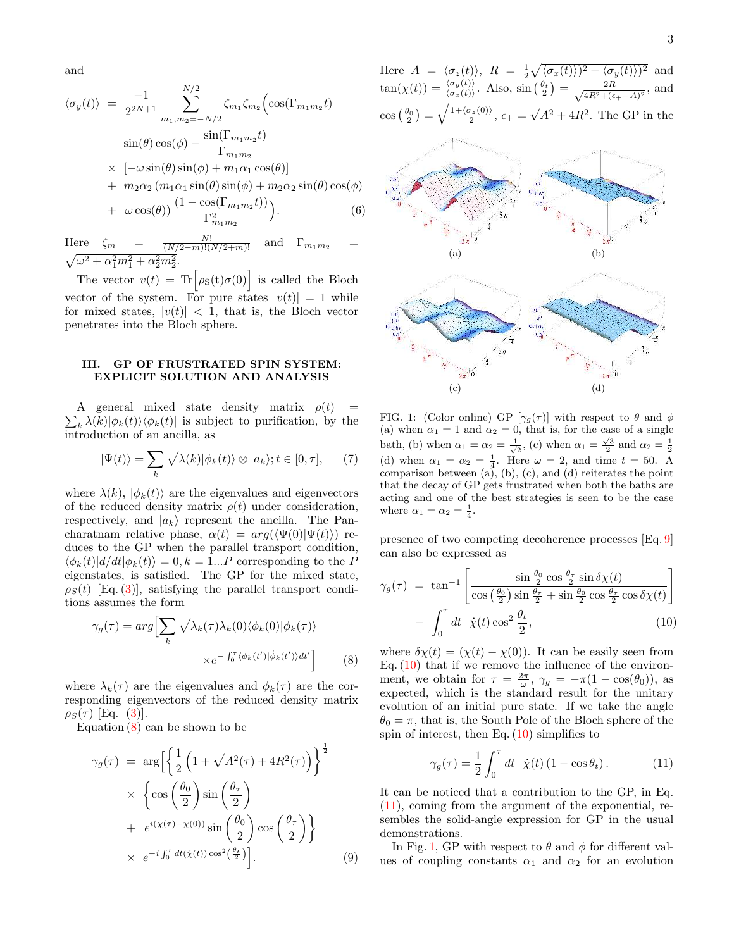and

$$
\langle \sigma_y(t) \rangle = \frac{-1}{2^{2N+1}} \sum_{m_1, m_2 = -N/2}^{N/2} \zeta_{m_1} \zeta_{m_2} \Big( \cos(\Gamma_{m_1 m_2} t) \n\sin(\theta) \cos(\phi) - \frac{\sin(\Gamma_{m_1 m_2} t)}{\Gamma_{m_1 m_2}} \n\times [-\omega \sin(\theta) \sin(\phi) + m_1 \alpha_1 \cos(\theta)] \n+ m_2 \alpha_2 (m_1 \alpha_1 \sin(\theta) \sin(\phi) + m_2 \alpha_2 \sin(\theta) \cos(\phi) \n+ \omega \cos(\theta)) \frac{(1 - \cos(\Gamma_{m_1 m_2} t))}{\Gamma_{m_1 m_2}^2} \Big). \tag{6}
$$

Here  $\zeta_m = \frac{N!}{(N/2-m)!(N/2+m)!}$  and  $\Gamma_{m_1m_2}$  =  $\sqrt{\omega^2 + \alpha_1^2 m_1^2 + \alpha_2^2 m_2^2}.$ 

The vector  $v(t) = \text{Tr} \big[ \rho_{S}(t) \sigma(0) \big]$  is called the Bloch vector of the system. For pure states  $|v(t)| = 1$  while for mixed states,  $|v(t)| < 1$ , that is, the Bloch vector penetrates into the Bloch sphere.

## III. GP OF FRUSTRATED SPIN SYSTEM: EXPLICIT SOLUTION AND ANALYSIS

 $\sum_{k} \lambda(k) |\phi_k(t)\rangle \langle \phi_k(t)|$  is subject to purification, by the A general mixed state density matrix  $\rho(t)$  = introduction of an ancilla, as

$$
|\Psi(t)\rangle = \sum_{k} \sqrt{\lambda(k)} |\phi_k(t)\rangle \otimes |a_k\rangle; t \in [0, \tau], \qquad (7)
$$

where  $\lambda(k)$ ,  $|\phi_k(t)\rangle$  are the eigenvalues and eigenvectors of the reduced density matrix  $\rho(t)$  under consideration, respectively, and  $|a_k\rangle$  represent the ancilla. The Pancharatnam relative phase,  $\alpha(t) = arg(\langle \Psi(0) | \Psi(t) \rangle)$  reduces to the GP when the parallel transport condition,  $\langle \phi_k(t) | d/dt | \phi_k(t) \rangle = 0, k = 1...P$  corresponding to the P eigenstates, is satisfied. The GP for the mixed state,  $\rho_S(t)$  [Eq. (3)], satisfying the parallel transport conditions assumes the form

$$
\gamma_g(\tau) = arg \Biggl[ \sum_k \sqrt{\lambda_k(\tau) \lambda_k(0)} \langle \phi_k(0) | \phi_k(\tau) \rangle \Biggr]
$$

$$
\times e^{-\int_0^{\tau} \langle \phi_k(t') | \dot{\phi}_k(t') \rangle dt'} \Biggr] \tag{8}
$$

where  $\lambda_k(\tau)$  are the eigenvalues and  $\phi_k(\tau)$  are the corresponding eigenvectors of the reduced density matrix  $\rho_S(\tau)$  [Eq. (3)].

Equation  $(8)$  can be shown to be

$$
\gamma_g(\tau) = \arg \left[ \left\{ \frac{1}{2} \left( 1 + \sqrt{A^2(\tau) + 4R^2(\tau)} \right) \right\}^{\frac{1}{2}} \times \left\{ \cos \left( \frac{\theta_0}{2} \right) \sin \left( \frac{\theta_\tau}{2} \right) + e^{i(\chi(\tau) - \chi(0))} \sin \left( \frac{\theta_0}{2} \right) \cos \left( \frac{\theta_\tau}{2} \right) \right\} \times e^{-i \int_0^\tau dt(\dot{\chi}(t)) \cos^2 \left( \frac{\theta_t}{2} \right)}.
$$
\n(9)

Here  $A = \langle \sigma_z(t) \rangle$ ,  $R = \frac{1}{2} \sqrt{\langle \sigma_x(t) \rangle^2 + \langle \sigma_y(t) \rangle^2}$  and  $\tan(\chi(t)) = \frac{\langle \sigma_y(t) \rangle}{\langle \sigma_x(t) \rangle}.$  Also,  $\sin\left(\frac{\theta_t}{2}\right) = \frac{2R}{\sqrt{4R^2 + (e^t)}}$  $\frac{2R}{4R^2 + (\epsilon_{+} - A)^2}$ , and  $\cos\left(\frac{\theta_0}{2}\right) = \sqrt{\frac{1+\langle\sigma_z(0)\rangle}{2}}, \epsilon_+ = \sqrt{A^2 + 4R^2}.$  The GP in the



FIG. 1: (Color online) GP  $[\gamma_g(\tau)]$  with respect to  $\theta$  and  $\phi$ (a) when  $\alpha_1 = 1$  and  $\alpha_2 = 0$ , that is, for the case of a single bath, (b) when  $\alpha_1 = \alpha_2 = \frac{1}{\sqrt{2}}$ , (c) when  $\alpha_1 = \frac{\sqrt{3}}{2}$  and  $\alpha_2 = \frac{1}{2}$ (d) when  $\alpha_1 = \alpha_2 = \frac{1}{4}$ . Here  $\omega = 2$ , and time  $t = 50$ . A comparison between (a), (b), (c), and (d) reiterates the point that the decay of GP gets frustrated when both the baths are acting and one of the best strategies is seen to be the case where  $\alpha_1 = \alpha_2 = \frac{1}{4}$ .

presence of two competing decoherence processes [Eq. 9] can also be expressed as

$$
\gamma_g(\tau) = \tan^{-1} \left[ \frac{\sin \frac{\theta_0}{2} \cos \frac{\theta_\tau}{2} \sin \delta \chi(t)}{\cos \left( \frac{\theta_0}{2} \right) \sin \frac{\theta_\tau}{2} + \sin \frac{\theta_0}{2} \cos \frac{\theta_\tau}{2} \cos \delta \chi(t)} \right] - \int_0^\tau dt \ \dot{\chi}(t) \cos^2 \frac{\theta_t}{2}, \tag{10}
$$

where  $\delta \chi(t) = (\chi(t) - \chi(0))$ . It can be easily seen from Eq.  $(10)$  that if we remove the influence of the environment, we obtain for  $\tau = \frac{2\pi}{\omega}, \gamma_g = -\pi(1 - \cos(\theta_0)),$  as expected, which is the standard result for the unitary evolution of an initial pure state. If we take the angle  $\theta_0 = \pi$ , that is, the South Pole of the Bloch sphere of the spin of interest, then Eq.  $(10)$  simplifies to

$$
\gamma_g(\tau) = \frac{1}{2} \int_0^{\tau} dt \quad \dot{\chi}(t) \left(1 - \cos \theta_t\right). \tag{11}
$$

It can be noticed that a contribution to the GP, in Eq. (11), coming from the argument of the exponential, resembles the solid-angle expression for GP in the usual demonstrations.

In Fig. 1, GP with respect to  $\theta$  and  $\phi$  for different values of coupling constants  $\alpha_1$  and  $\alpha_2$  for an evolution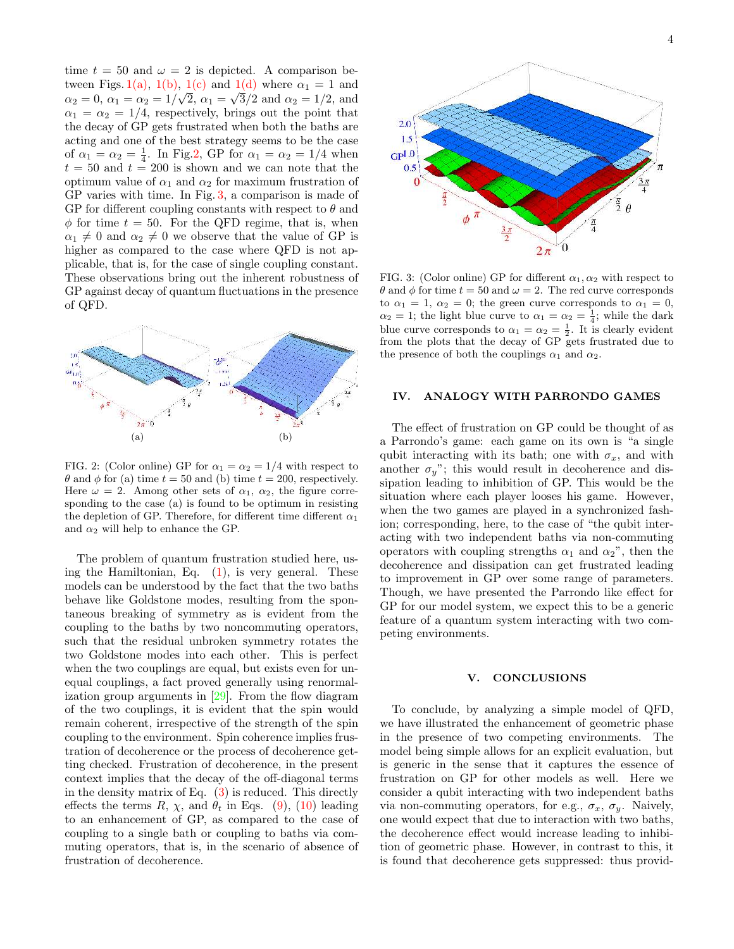time  $t = 50$  and  $\omega = 2$  is depicted. A comparison between Figs. 1(a), 1(b), 1(c) and 1(d) where  $\alpha_1 = 1$  and  $\alpha_2 = 0, \ \alpha_1 = \alpha_2 = 1/\sqrt{2}, \ \alpha_1 = \sqrt{3}/2 \text{ and } \alpha_2 = 1/2, \text{ and}$  $\alpha_1 = \alpha_2 = 1/4$ , respectively, brings out the point that the decay of GP gets frustrated when both the baths are acting and one of the best strategy seems to be the case of  $\alpha_1 = \alpha_2 = \frac{1}{4}$ . In Fig.2, GP for  $\alpha_1 = \alpha_2 = 1/4$  when  $t = 50$  and  $t = 200$  is shown and we can note that the optimum value of  $\alpha_1$  and  $\alpha_2$  for maximum frustration of GP varies with time. In Fig. 3, a comparison is made of GP for different coupling constants with respect to  $\theta$  and  $\phi$  for time  $t = 50$ . For the QFD regime, that is, when  $\alpha_1 \neq 0$  and  $\alpha_2 \neq 0$  we observe that the value of GP is higher as compared to the case where QFD is not applicable, that is, for the case of single coupling constant. These observations bring out the inherent robustness of GP against decay of quantum fluctuations in the presence of QFD.



FIG. 2: (Color online) GP for  $\alpha_1 = \alpha_2 = 1/4$  with respect to  $\theta$  and  $\phi$  for (a) time  $t = 50$  and (b) time  $t = 200$ , respectively. Here  $\omega = 2$ . Among other sets of  $\alpha_1$ ,  $\alpha_2$ , the figure corresponding to the case (a) is found to be optimum in resisting the depletion of GP. Therefore, for different time different  $\alpha_1$ and  $\alpha_2$  will help to enhance the GP.

The problem of quantum frustration studied here, using the Hamiltonian, Eq. (1), is very general. These models can be understood by the fact that the two baths behave like Goldstone modes, resulting from the spontaneous breaking of symmetry as is evident from the coupling to the baths by two noncommuting operators, such that the residual unbroken symmetry rotates the two Goldstone modes into each other. This is perfect when the two couplings are equal, but exists even for unequal couplings, a fact proved generally using renormalization group arguments in [29]. From the flow diagram of the two couplings, it is evident that the spin would remain coherent, irrespective of the strength of the spin coupling to the environment. Spin coherence implies frustration of decoherence or the process of decoherence getting checked. Frustration of decoherence, in the present context implies that the decay of the off-diagonal terms in the density matrix of Eq. (3) is reduced. This directly effects the terms R,  $\chi$ , and  $\theta_t$  in Eqs. (9), (10) leading to an enhancement of GP, as compared to the case of coupling to a single bath or coupling to baths via commuting operators, that is, in the scenario of absence of frustration of decoherence.

0  $2\pi$ 

FIG. 3: (Color online) GP for different  $\alpha_1, \alpha_2$  with respect to  $\theta$  and  $\phi$  for time  $t = 50$  and  $\omega = 2$ . The red curve corresponds to  $\alpha_1 = 1$ ,  $\alpha_2 = 0$ ; the green curve corresponds to  $\alpha_1 = 0$ ,  $\alpha_2 = 1$ ; the light blue curve to  $\alpha_1 = \alpha_2 = \frac{1}{4}$ ; while the dark blue curve corresponds to  $\alpha_1 = \alpha_2 = \frac{1}{2}$ . It is clearly evident from the plots that the decay of GP gets frustrated due to the presence of both the couplings  $\alpha_1$  and  $\alpha_2$ .

 $\pi$  $\phi$ 

 $2.0$  $1.5$  $GP<sup>1.0</sup>$  $0.5$ €

## IV. ANALOGY WITH PARRONDO GAMES

The effect of frustration on GP could be thought of as a Parrondo's game: each game on its own is "a single qubit interacting with its bath; one with  $\sigma_x$ , and with another  $\sigma_y$ "; this would result in decoherence and dissipation leading to inhibition of GP. This would be the situation where each player looses his game. However, when the two games are played in a synchronized fashion; corresponding, here, to the case of "the qubit interacting with two independent baths via non-commuting operators with coupling strengths  $\alpha_1$  and  $\alpha_2$ ", then the decoherence and dissipation can get frustrated leading to improvement in GP over some range of parameters. Though, we have presented the Parrondo like effect for GP for our model system, we expect this to be a generic feature of a quantum system interacting with two competing environments.

#### V. CONCLUSIONS

To conclude, by analyzing a simple model of QFD, we have illustrated the enhancement of geometric phase in the presence of two competing environments. The model being simple allows for an explicit evaluation, but is generic in the sense that it captures the essence of frustration on GP for other models as well. Here we consider a qubit interacting with two independent baths via non-commuting operators, for e.g.,  $\sigma_x$ ,  $\sigma_y$ . Naively, one would expect that due to interaction with two baths, the decoherence effect would increase leading to inhibition of geometric phase. However, in contrast to this, it is found that decoherence gets suppressed: thus provid-

 $\theta$